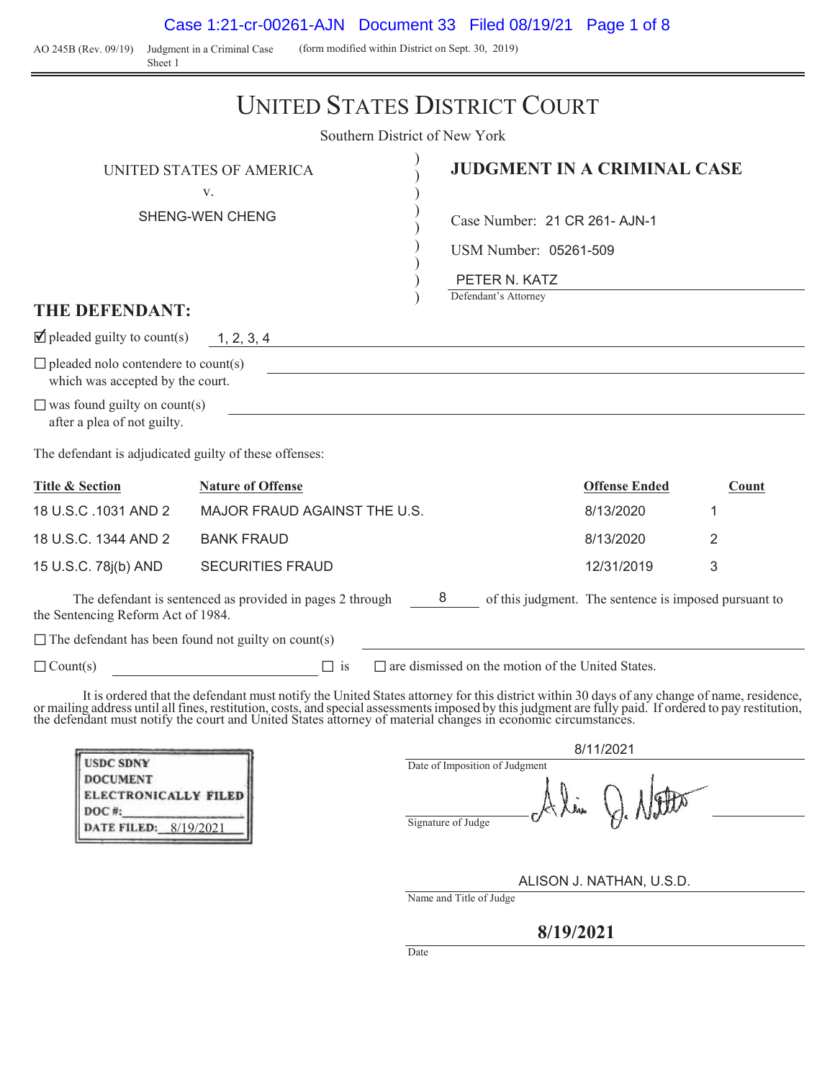Case 1:21-cr-00261-AJN Document 33 Filed 08/19/21 Page 1 of 8

AO 245B (Rev. 09/19) Judgment in a Criminal Case Sheet 1

#### (form modified within District on Sept. 30, 2019) UNITED STATES DISTRICT COURT Southern District of New York UNITED STATES OF AMERICA ) **JUDGMENT IN A CRIMINAL CASE** ) v. ) ) Case Number: SHENG-WEN CHENG 21 CR 261- AJN-1 ) ) USM Number: 05261-509 ) ) PETER N. KATZ ) Defendant's Attorney **THE DEFENDANT:**  $\Box$  pleaded guilty to count(s) 1, 2, 3, 4  $\Box$  pleaded nolo contendere to count(s) which was accepted by the court.  $\Box$  was found guilty on count(s) after a plea of not guilty. The defendant is adjudicated guilty of these offenses: **Title & Section Nature of Offense Offense Ended Count** 18 U.S.C .1031 AND 2 MAJOR FRAUD AGAINST THE U.S.  $8/13/2020$  1 18 U.S.C. 1344 AND 2 BANK FRAUD 8/13/2020 2 15 U.S.C. 78j(b) AND SECURITIES FRAUD 12/31/2019 3 The defendant is sentenced as provided in pages 2 through  $\frac{8}{10}$  of this judgment. The sentence is imposed pursuant to the Sentencing Reform Act of 1984.  $\Box$  The defendant has been found not guilty on count(s)  $\Box$  Count(s)  $\Box$  is  $\Box$  are dismissed on the motion of the United States. It is ordered that the defendant must notify the United States attorney for this district within 30 days of any change of name, residence, or mailing address until all fines, restitution, costs, and special assessments imposed by this judgment are fully paid. If ordered to pay restitution, the defendant must notify the court and United States attorney of mate 8/11/2021 **USDC SDNY** Date of Imposition of Judgment **DOCUMENT ELECTRONICALLY FILED** DOC#: Signature of Judge DATE FILED: 8/19/2021 ALISON J. NATHAN, U.S.D.

Name and Title of Judge

8/19/2021

Date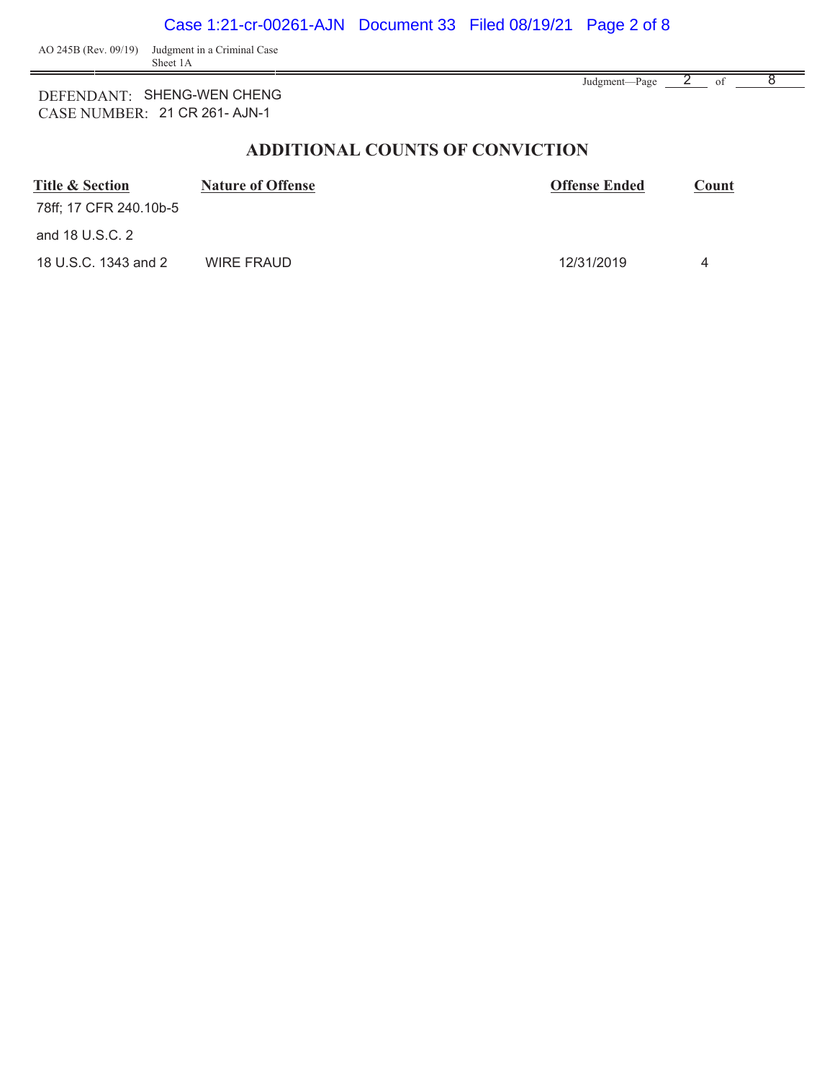Case 1:21-cr-00261-AJN Document 33 Filed 08/19/21 Page 2 of 8

AO 245B (Rev. 09/19) Judgment in a Criminal Case Sheet 1A

Judgment—Page 2 of 8

DEFENDANT: SHENG-WEN CHENG CASE NUMBER: 21 CR 261- AJN-1

## **ADDITIONAL COUNTS OF CONVICTION**

| Title & Section        | <b>Nature of Offense</b> | <b>Offense Ended</b> | Count |
|------------------------|--------------------------|----------------------|-------|
| 78ff; 17 CFR 240.10b-5 |                          |                      |       |
| and 18 U.S.C. 2        |                          |                      |       |
| 18 U.S.C. 1343 and 2   | WIRE FRAUD               | 12/31/2019           | 4     |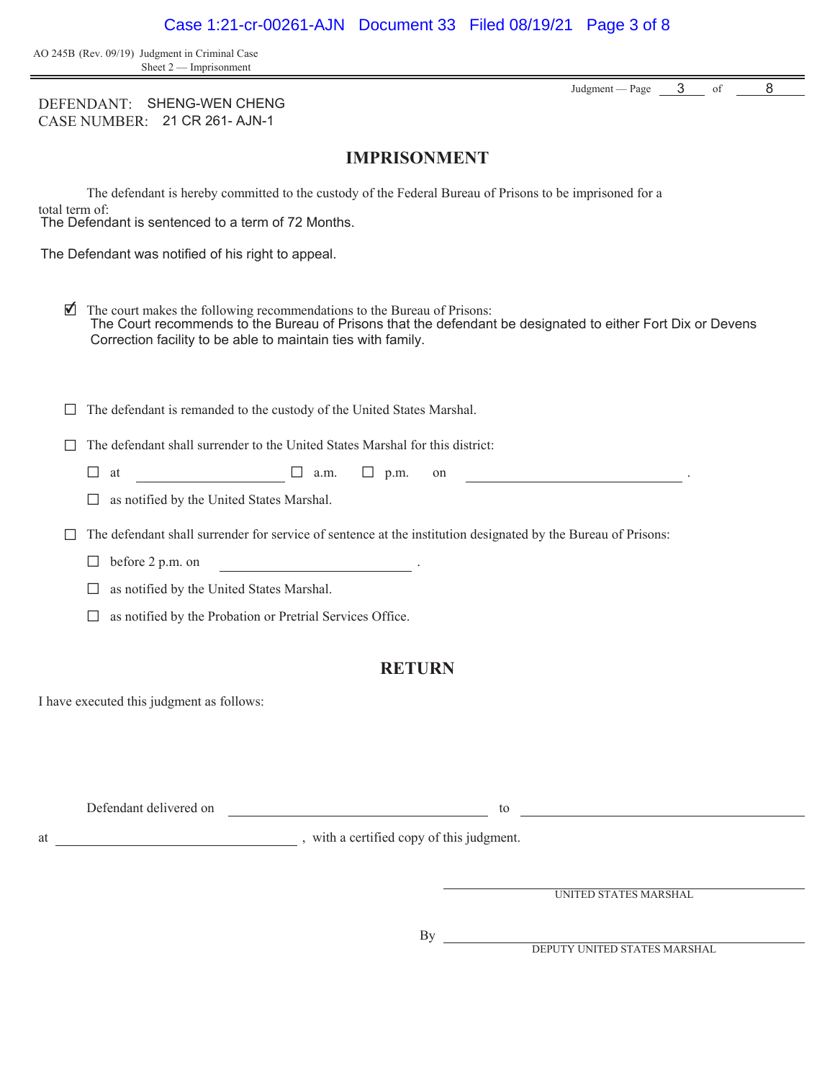AO 245B (Rev. 09/19) Judgment in Criminal Case Sheet 2 — Imprisonment

DEFENDANT: SHENG-WEN CHENG CASE NUMBER: 21 CR 261- AJN-1

#### **IMPRISONMENT**

The defendant is hereby committed to the custody of the Federal Bureau of Prisons to be imprisoned for a total term of:

The Defendant is sentenced to a term of 72 Months.

The Defendant was notified of his right to appeal.

The court makes the following recommendations to the Bureau of Prisons: ✔ The Court recommends to the Bureau of Prisons that the defendant be designated to either Fort Dix or Devens Correction facility to be able to maintain ties with family.

 $\Box$  The defendant is remanded to the custody of the United States Marshal.

 $\Box$  The defendant shall surrender to the United States Marshal for this district:

- $\Box$  at  $\Box$  a.m.  $\Box$  p.m. on .
- $\Box$  as notified by the United States Marshal.

 $\Box$  The defendant shall surrender for service of sentence at the institution designated by the Bureau of Prisons:

- $\Box$  before 2 p.m. on
- $\Box$  as notified by the United States Marshal.
- $\Box$  as notified by the Probation or Pretrial Services Office.

#### **RETURN**

I have executed this judgment as follows:

| Defendant delivered on |  |
|------------------------|--|
|                        |  |

at , with a certified copy of this judgment.

Judgment — Page 3 of 8

UNITED STATES MARSHAL

 $By_$ 

DEPUTY UNITED STATES MARSHAL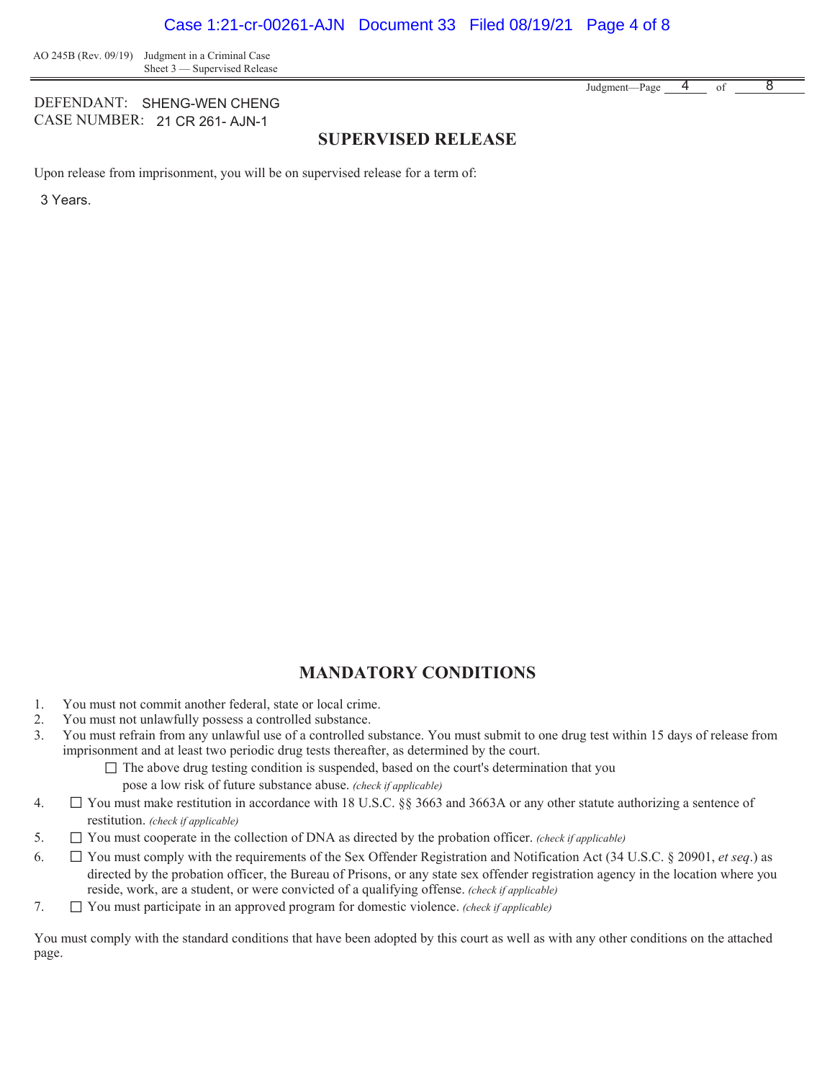AO 245B (Rev. 09/19) Judgment in a Criminal Case Sheet 3 — Supervised Release

DEFENDANT: SHENG-WEN CHENG CASE NUMBER: 21 CR 261- AJN-1

#### **SUPERVISED RELEASE**

Upon release from imprisonment, you will be on supervised release for a term of:

3 Years.

## **MANDATORY CONDITIONS**

- 1. You must not commit another federal, state or local crime.
- 2. You must not unlawfully possess a controlled substance.
- 3. You must refrain from any unlawful use of a controlled substance. You must submit to one drug test within 15 days of release from imprisonment and at least two periodic drug tests thereafter, as determined by the court.
	- $\Box$  The above drug testing condition is suspended, based on the court's determination that you pose a low risk of future substance abuse. *(check if applicable)*
- 4. G You must make restitution in accordance with 18 U.S.C.  $\S$  3663 and 3663A or any other statute authorizing a sentence of restitution. *(check if applicable)*
- 5. G You must cooperate in the collection of DNA as directed by the probation officer. *(check if applicable)*
- 6. G You must comply with the requirements of the Sex Offender Registration and Notification Act (34 U.S.C. § 20901, *et seq*.) as directed by the probation officer, the Bureau of Prisons, or any state sex offender registration agency in the location where you reside, work, are a student, or were convicted of a qualifying offense. *(check if applicable)*
- 7. G You must participate in an approved program for domestic violence. *(check if applicable)*

You must comply with the standard conditions that have been adopted by this court as well as with any other conditions on the attached page.

Judgment—Page 4 of 8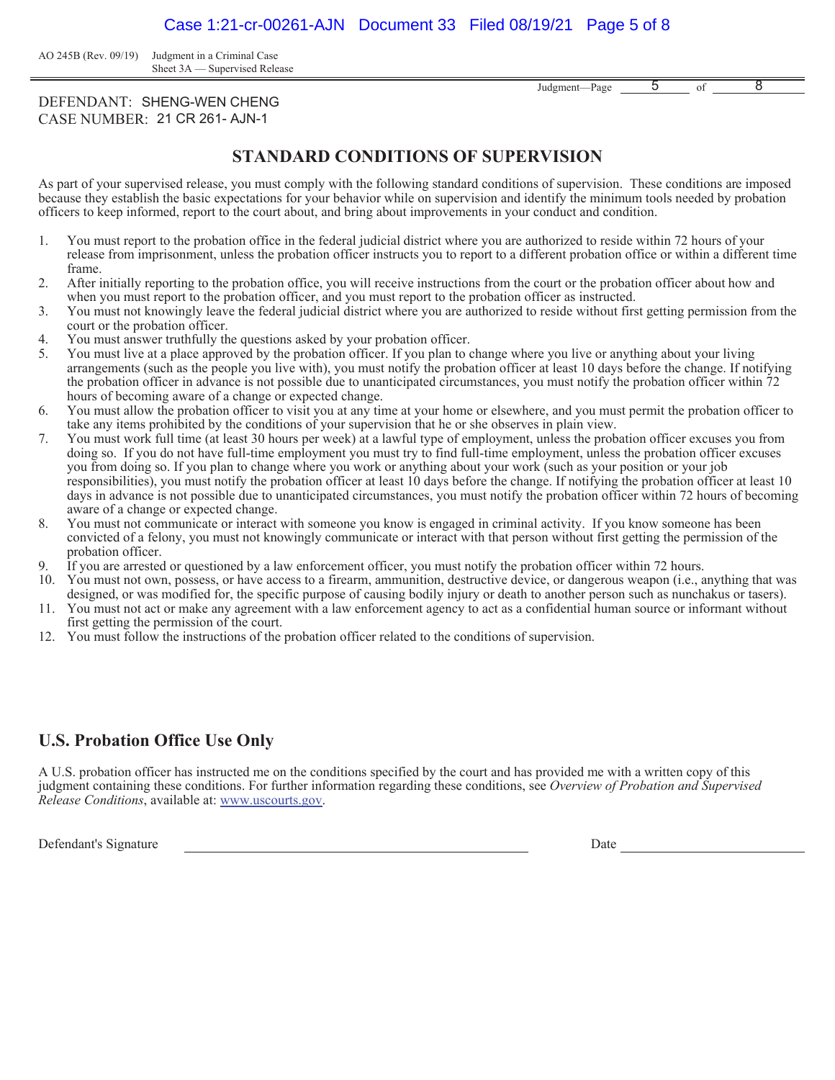AO 245B (Rev. 09/19) Judgment in a Criminal Case Sheet 3A — Supervised Release

> Judgment—Page 5 of 5 8

DEFENDANT: SHENG-WEN CHENG CASE NUMBER: 21 CR 261- AJN-1

#### **STANDARD CONDITIONS OF SUPERVISION**

As part of your supervised release, you must comply with the following standard conditions of supervision. These conditions are imposed because they establish the basic expectations for your behavior while on supervision and identify the minimum tools needed by probation officers to keep informed, report to the court about, and bring about improvements in your conduct and condition.

- You must report to the probation office in the federal judicial district where you are authorized to reside within 72 hours of your release from imprisonment, unless the probation officer instructs you to report to a different probation office or within a different time frame.
- After initially reporting to the probation office, you will receive instructions from the court or the probation officer about how and when you must report to the probation officer, and you must report to the probation officer as instructed.
- You must not knowingly leave the federal judicial district where you are authorized to reside without first getting permission from the court or the probation officer.
- You must answer truthfully the questions asked by your probation officer.
- You must live at a place approved by the probation officer. If you plan to change where you live or anything about your living arrangements (such as the people you live with), you must notify the probation officer at least 10 days before the change. If notifying the probation officer in advance is not possible due to unanticipated circumstances, you must notify the probation officer within 72 hours of becoming aware of a change or expected change.
- You must allow the probation officer to visit you at any time at your home or elsewhere, and you must permit the probation officer to take any items prohibited by the conditions of your supervision that he or she observes in plain view.
- You must work full time (at least 30 hours per week) at a lawful type of employment, unless the probation officer excuses you from doing so. If you do not have full-time employment you must try to find full-time employment, unless the probation officer excuses you from doing so. If you plan to change where you work or anything about your work (such as your position or your job responsibilities), you must notify the probation officer at least 10 days before the change. If notifying the probation officer at least 10 days in advance is not possible due to unanticipated circumstances, you must notify the probation officer within 72 hours of becoming aware of a change or expected change.
- You must not communicate or interact with someone you know is engaged in criminal activity. If you know someone has been convicted of a felony, you must not knowingly communicate or interact with that person without first getting the permission of the probation officer.
- If you are arrested or questioned by a law enforcement officer, you must notify the probation officer within 72 hours.
- You must not own, possess, or have access to a firearm, ammunition, destructive device, or dangerous weapon (i.e., anything that was designed, or was modified for, the specific purpose of causing bodily injury or death to another person such as nunchakus or tasers).
- You must not act or make any agreement with a law enforcement agency to act as a confidential human source or informant without first getting the permission of the court.
- 12. You must follow the instructions of the probation officer related to the conditions of supervision.

# **U.S. Probation Office Use Only**

A U.S. probation officer has instructed me on the conditions specified by the court and has provided me with a written copy of this judgment containing these conditions. For further information regarding these conditions, see *Overview of Probation and Supervised Release Conditions*, available at: www.uscourts.gov.

Defendant's Signature Date Date of the United States of the Date of the Date Date of the United States of the United States of the United States of the United States of the United States of the United States of the United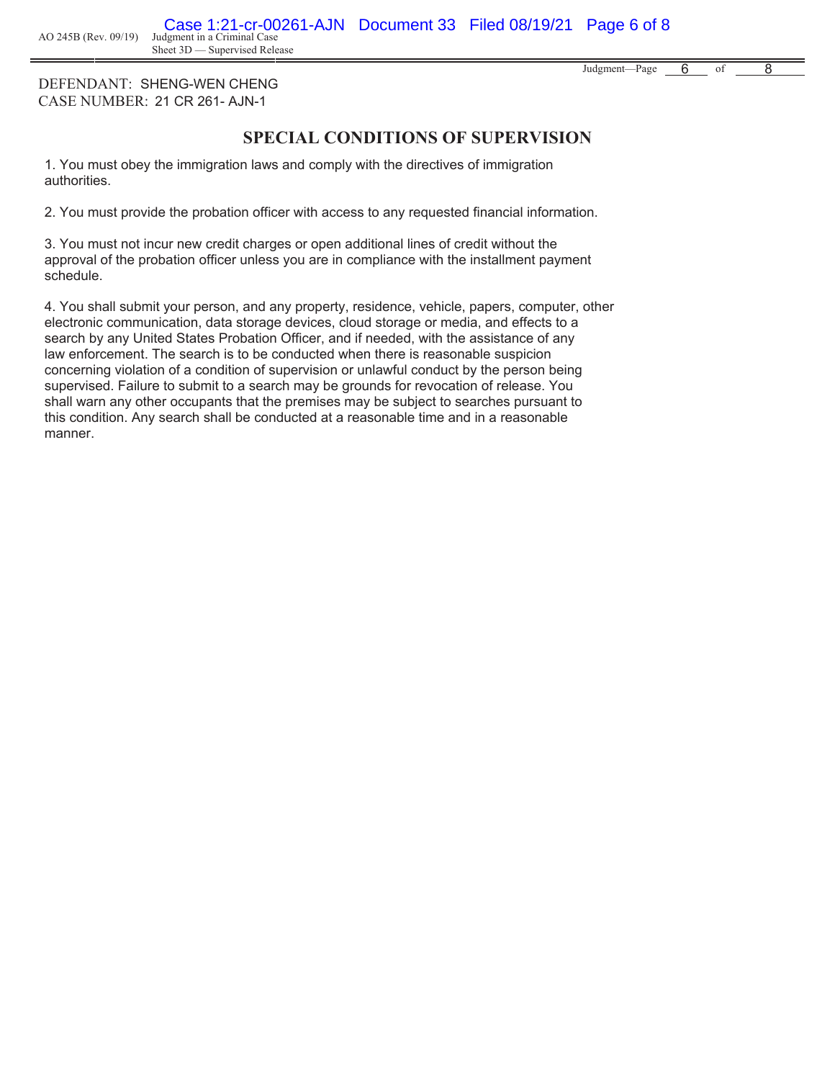DEFENDANT: SHENG-WEN CHENG CASE NUMBER: 21 CR 261- AJN-1

## **SPECIAL CONDITIONS OF SUPERVISION**

1. You must obey the immigration laws and comply with the directives of immigration authorities.

2. You must provide the probation officer with access to any requested financial information.

3. You must not incur new credit charges or open additional lines of credit without the approval of the probation officer unless you are in compliance with the installment payment schedule.

4. You shall submit your person, and any property, residence, vehicle, papers, computer, other electronic communication, data storage devices, cloud storage or media, and effects to a search by any United States Probation Officer, and if needed, with the assistance of any law enforcement. The search is to be conducted when there is reasonable suspicion concerning violation of a condition of supervision or unlawful conduct by the person being supervised. Failure to submit to a search may be grounds for revocation of release. You shall warn any other occupants that the premises may be subject to searches pursuant to this condition. Any search shall be conducted at a reasonable time and in a reasonable manner.

Judgment—Page 6 of 8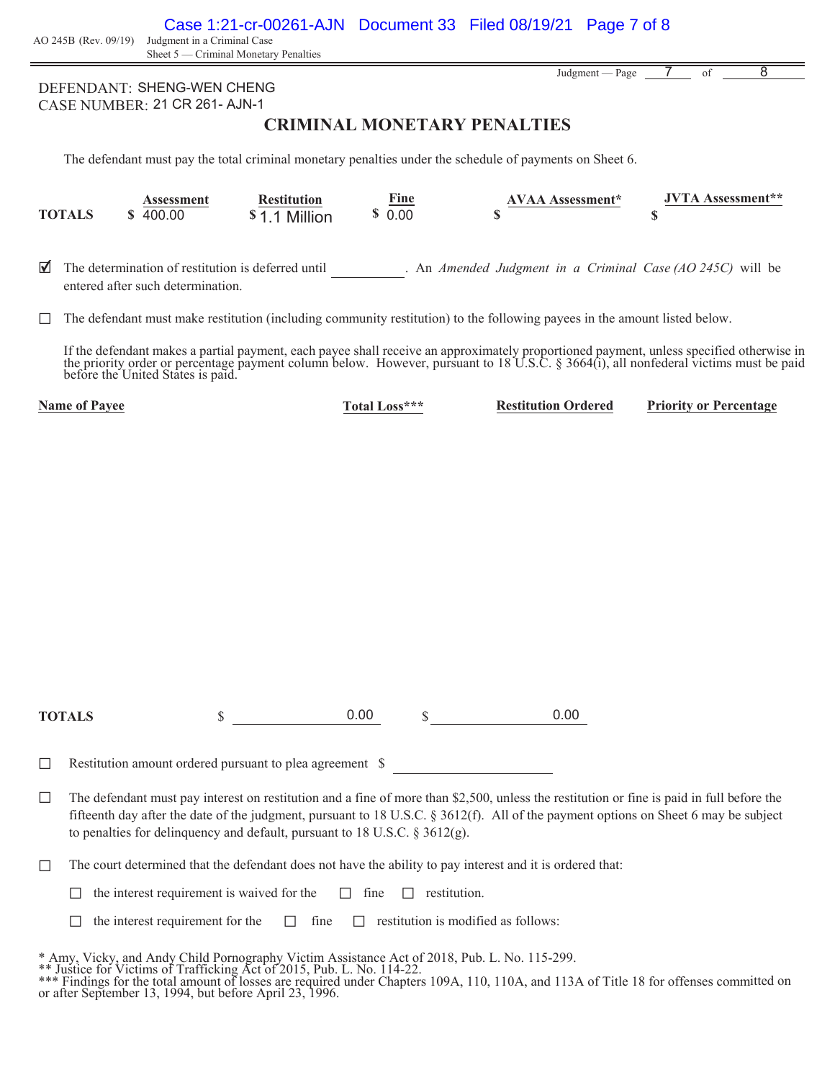|              | AO 245B (Rev. 09/19) | Judgment in a Criminal Case                                 | Case 1:21-cr-00261-AJN  Document 33  Filed 08/19/21  Page 7 of 8<br>Sheet 5 — Criminal Monetary Penalties                                                                                                                                                                                                                                                                                                                     |                |                     |                                    |                                                                   |   |                               |   |
|--------------|----------------------|-------------------------------------------------------------|-------------------------------------------------------------------------------------------------------------------------------------------------------------------------------------------------------------------------------------------------------------------------------------------------------------------------------------------------------------------------------------------------------------------------------|----------------|---------------------|------------------------------------|-------------------------------------------------------------------|---|-------------------------------|---|
|              |                      | DEFENDANT: SHENG-WEN CHENG<br>CASE NUMBER: 21 CR 261- AJN-1 |                                                                                                                                                                                                                                                                                                                                                                                                                               |                |                     | <b>CRIMINAL MONETARY PENALTIES</b> | Judgment — Page                                                   | 7 | of                            | 8 |
|              |                      |                                                             |                                                                                                                                                                                                                                                                                                                                                                                                                               |                |                     |                                    |                                                                   |   |                               |   |
|              |                      |                                                             | The defendant must pay the total criminal monetary penalties under the schedule of payments on Sheet 6.                                                                                                                                                                                                                                                                                                                       |                |                     |                                    |                                                                   |   |                               |   |
|              | <b>TOTALS</b>        | <b>Assessment</b><br>\$400.00                               | <b>Restitution</b><br>\$1.1 Million                                                                                                                                                                                                                                                                                                                                                                                           | Fine<br>\$0.00 |                     |                                    | <b>AVAA Assessment*</b>                                           | S | <b>JVTA Assessment**</b>      |   |
| ☑            |                      | entered after such determination.                           | The determination of restitution is deferred until                                                                                                                                                                                                                                                                                                                                                                            |                |                     |                                    | . An <i>Amended Judgment in a Criminal Case (AO 245C)</i> will be |   |                               |   |
|              |                      |                                                             | The defendant must make restitution (including community restitution) to the following payees in the amount listed below.                                                                                                                                                                                                                                                                                                     |                |                     |                                    |                                                                   |   |                               |   |
|              |                      |                                                             | If the defendant makes a partial payment, each payee shall receive an approximately proportioned payment, unless specified otherwise in<br>the priority order or percentage payment column below. However, pursuant to 18 U.S.C.                                                                                                                                                                                              |                |                     |                                    |                                                                   |   |                               |   |
|              | <b>Name of Payee</b> |                                                             |                                                                                                                                                                                                                                                                                                                                                                                                                               | Total Loss***  |                     |                                    | <b>Restitution Ordered</b>                                        |   | <b>Priority or Percentage</b> |   |
|              | <b>TOTALS</b>        | \$                                                          |                                                                                                                                                                                                                                                                                                                                                                                                                               |                |                     |                                    | 0.00                                                              |   |                               |   |
|              |                      |                                                             |                                                                                                                                                                                                                                                                                                                                                                                                                               |                |                     |                                    |                                                                   |   |                               |   |
| $\perp$<br>П |                      |                                                             | Restitution amount ordered pursuant to plea agreement \$<br>The defendant must pay interest on restitution and a fine of more than \$2,500, unless the restitution or fine is paid in full before the<br>fifteenth day after the date of the judgment, pursuant to 18 U.S.C. § 3612(f). All of the payment options on Sheet 6 may be subject<br>to penalties for delinquency and default, pursuant to 18 U.S.C. $\S$ 3612(g). |                |                     |                                    |                                                                   |   |                               |   |
| $\perp$      |                      |                                                             | The court determined that the defendant does not have the ability to pay interest and it is ordered that:                                                                                                                                                                                                                                                                                                                     |                |                     |                                    |                                                                   |   |                               |   |
|              |                      |                                                             | the interest requirement is waived for the                                                                                                                                                                                                                                                                                                                                                                                    | $\Box$ fine    | $\Box$ restitution. |                                    |                                                                   |   |                               |   |
|              |                      |                                                             | the interest requirement for the $\Box$ fine $\Box$ restitution is modified as follows:                                                                                                                                                                                                                                                                                                                                       |                |                     |                                    |                                                                   |   |                               |   |
|              |                      |                                                             | * Amy, Vicky, and Andy Child Pornography Victim Assistance Act of 2018, Pub. L. No. 115-299.<br>** Justice for Victims of Trafficking Act of 2015, Pub. L. No. 114-22.<br>*** Findings for the total amount of losses are required u                                                                                                                                                                                          |                |                     |                                    |                                                                   |   |                               |   |